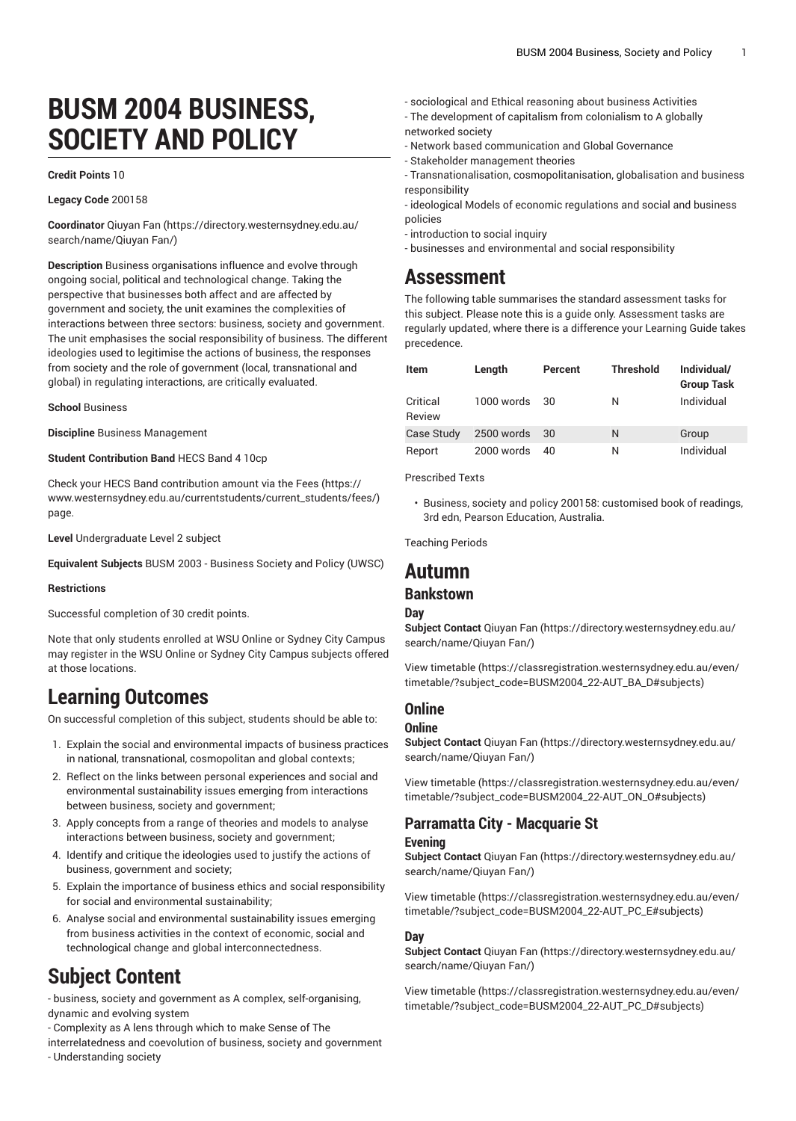# **BUSM 2004 BUSINESS, SOCIETY AND POLICY**

#### **Credit Points** 10

#### **Legacy Code** 200158

**Coordinator** [Qiuyan](https://directory.westernsydney.edu.au/search/name/Qiuyan Fan/) Fan [\(https://directory.westernsydney.edu.au/](https://directory.westernsydney.edu.au/search/name/Qiuyan Fan/) [search/name/Qiuyan](https://directory.westernsydney.edu.au/search/name/Qiuyan Fan/) Fan/)

**Description** Business organisations influence and evolve through ongoing social, political and technological change. Taking the perspective that businesses both affect and are affected by government and society, the unit examines the complexities of interactions between three sectors: business, society and government. The unit emphasises the social responsibility of business. The different ideologies used to legitimise the actions of business, the responses from society and the role of government (local, transnational and global) in regulating interactions, are critically evaluated.

**School** Business

**Discipline** Business Management

**Student Contribution Band** HECS Band 4 10cp

Check your HECS Band contribution amount via the [Fees \(https://](https://www.westernsydney.edu.au/currentstudents/current_students/fees/) [www.westernsydney.edu.au/currentstudents/current\\_students/fees/\)](https://www.westernsydney.edu.au/currentstudents/current_students/fees/) page.

**Level** Undergraduate Level 2 subject

**Equivalent Subjects** BUSM 2003 - Business Society and Policy (UWSC)

#### **Restrictions**

Successful completion of 30 credit points.

Note that only students enrolled at WSU Online or Sydney City Campus may register in the WSU Online or Sydney City Campus subjects offered at those locations.

## **Learning Outcomes**

On successful completion of this subject, students should be able to:

- 1. Explain the social and environmental impacts of business practices in national, transnational, cosmopolitan and global contexts;
- 2. Reflect on the links between personal experiences and social and environmental sustainability issues emerging from interactions between business, society and government;
- 3. Apply concepts from a range of theories and models to analyse interactions between business, society and government;
- 4. Identify and critique the ideologies used to justify the actions of business, government and society;
- 5. Explain the importance of business ethics and social responsibility for social and environmental sustainability;
- 6. Analyse social and environmental sustainability issues emerging from business activities in the context of economic, social and technological change and global interconnectedness.

## **Subject Content**

- business, society and government as A complex, self-organising, dynamic and evolving system

- Complexity as A lens through which to make Sense of The
- interrelatedness and coevolution of business, society and government - Understanding society
- sociological and Ethical reasoning about business Activities
- The development of capitalism from colonialism to A globally networked society
- Network based communication and Global Governance
- Stakeholder management theories
- Transnationalisation, cosmopolitanisation, globalisation and business responsibility

- ideological Models of economic regulations and social and business policies

- introduction to social inquiry
- businesses and environmental and social responsibility

## **Assessment**

The following table summarises the standard assessment tasks for this subject. Please note this is a guide only. Assessment tasks are regularly updated, where there is a difference your Learning Guide takes precedence.

| <b>Item</b>        | Length        | Percent | <b>Threshold</b> | Individual/<br><b>Group Task</b> |
|--------------------|---------------|---------|------------------|----------------------------------|
| Critical<br>Review | 1000 words 30 |         | N                | Individual                       |
| Case Study         | 2500 words    | - 30    | N                | Group                            |
| Report             | 2000 words    | 40      | Ν                | Individual                       |

Prescribed Texts

• Business, society and policy 200158: customised book of readings, 3rd edn, Pearson Education, Australia.

Teaching Periods

## **Autumn**

### **Bankstown**

#### **Day**

**Subject Contact** [Qiuyan](https://directory.westernsydney.edu.au/search/name/Qiuyan Fan/) Fan ([https://directory.westernsydney.edu.au/](https://directory.westernsydney.edu.au/search/name/Qiuyan Fan/) [search/name/Qiuyan](https://directory.westernsydney.edu.au/search/name/Qiuyan Fan/) Fan/)

[View timetable](https://classregistration.westernsydney.edu.au/even/timetable/?subject_code=BUSM2004_22-AUT_BA_D#subjects) [\(https://classregistration.westernsydney.edu.au/even/](https://classregistration.westernsydney.edu.au/even/timetable/?subject_code=BUSM2004_22-AUT_BA_D#subjects) [timetable/?subject\\_code=BUSM2004\\_22-AUT\\_BA\\_D#subjects\)](https://classregistration.westernsydney.edu.au/even/timetable/?subject_code=BUSM2004_22-AUT_BA_D#subjects)

### **Online**

#### **Online**

**Subject Contact** [Qiuyan](https://directory.westernsydney.edu.au/search/name/Qiuyan Fan/) Fan ([https://directory.westernsydney.edu.au/](https://directory.westernsydney.edu.au/search/name/Qiuyan Fan/) [search/name/Qiuyan](https://directory.westernsydney.edu.au/search/name/Qiuyan Fan/) Fan/)

[View timetable](https://classregistration.westernsydney.edu.au/even/timetable/?subject_code=BUSM2004_22-AUT_ON_O#subjects) [\(https://classregistration.westernsydney.edu.au/even/](https://classregistration.westernsydney.edu.au/even/timetable/?subject_code=BUSM2004_22-AUT_ON_O#subjects) [timetable/?subject\\_code=BUSM2004\\_22-AUT\\_ON\\_O#subjects\)](https://classregistration.westernsydney.edu.au/even/timetable/?subject_code=BUSM2004_22-AUT_ON_O#subjects)

## **Parramatta City - Macquarie St**

#### **Evening**

**Subject Contact** [Qiuyan](https://directory.westernsydney.edu.au/search/name/Qiuyan Fan/) Fan ([https://directory.westernsydney.edu.au/](https://directory.westernsydney.edu.au/search/name/Qiuyan Fan/) [search/name/Qiuyan](https://directory.westernsydney.edu.au/search/name/Qiuyan Fan/) Fan/)

[View timetable](https://classregistration.westernsydney.edu.au/even/timetable/?subject_code=BUSM2004_22-AUT_PC_E#subjects) [\(https://classregistration.westernsydney.edu.au/even/](https://classregistration.westernsydney.edu.au/even/timetable/?subject_code=BUSM2004_22-AUT_PC_E#subjects) [timetable/?subject\\_code=BUSM2004\\_22-AUT\\_PC\\_E#subjects\)](https://classregistration.westernsydney.edu.au/even/timetable/?subject_code=BUSM2004_22-AUT_PC_E#subjects)

### **Day**

**Subject Contact** [Qiuyan](https://directory.westernsydney.edu.au/search/name/Qiuyan Fan/) Fan ([https://directory.westernsydney.edu.au/](https://directory.westernsydney.edu.au/search/name/Qiuyan Fan/) [search/name/Qiuyan](https://directory.westernsydney.edu.au/search/name/Qiuyan Fan/) Fan/)

[View timetable](https://classregistration.westernsydney.edu.au/even/timetable/?subject_code=BUSM2004_22-AUT_PC_D#subjects) [\(https://classregistration.westernsydney.edu.au/even/](https://classregistration.westernsydney.edu.au/even/timetable/?subject_code=BUSM2004_22-AUT_PC_D#subjects) [timetable/?subject\\_code=BUSM2004\\_22-AUT\\_PC\\_D#subjects](https://classregistration.westernsydney.edu.au/even/timetable/?subject_code=BUSM2004_22-AUT_PC_D#subjects))